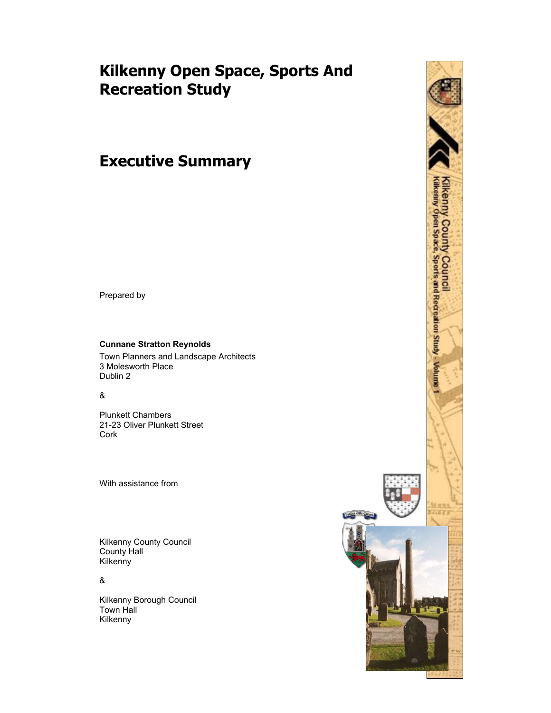# **Kilkenny Open Space, Sports And Recreation Study**

# **Executive Summary**

Prepared by

## **Cunnane Stratton Reynolds**

Town Planners and Landscape Architects 3 Molesworth Place Dublin 2

#### &

Plunkett Chambers 21-23 Oliver Plunkett Street Cork

With assistance from

Kilkenny County Council County Hall Kilkenny

&

Kilkenny Borough Council Town Hall Kilkenny

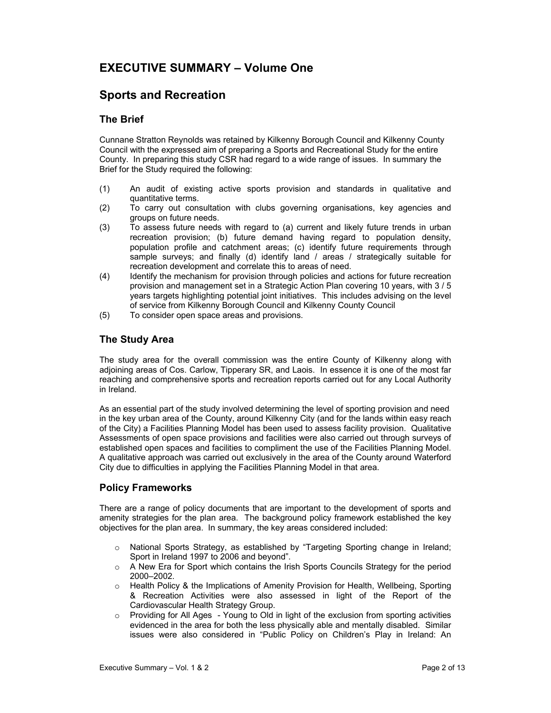# **EXECUTIVE SUMMARY – Volume One**

# **Sports and Recreation**

## **The Brief**

Cunnane Stratton Reynolds was retained by Kilkenny Borough Council and Kilkenny County Council with the expressed aim of preparing a Sports and Recreational Study for the entire County. In preparing this study CSR had regard to a wide range of issues. In summary the Brief for the Study required the following:

- (1) An audit of existing active sports provision and standards in qualitative and quantitative terms.
- (2) To carry out consultation with clubs governing organisations, key agencies and groups on future needs.
- (3) To assess future needs with regard to (a) current and likely future trends in urban recreation provision; (b) future demand having regard to population density, population profile and catchment areas; (c) identify future requirements through sample surveys; and finally (d) identify land / areas / strategically suitable for recreation development and correlate this to areas of need.
- (4) Identify the mechanism for provision through policies and actions for future recreation provision and management set in a Strategic Action Plan covering 10 years, with 3 / 5 years targets highlighting potential joint initiatives. This includes advising on the level of service from Kilkenny Borough Council and Kilkenny County Council
- (5) To consider open space areas and provisions.

# **The Study Area**

The study area for the overall commission was the entire County of Kilkenny along with adjoining areas of Cos. Carlow, Tipperary SR, and Laois. In essence it is one of the most far reaching and comprehensive sports and recreation reports carried out for any Local Authority in Ireland.

As an essential part of the study involved determining the level of sporting provision and need in the key urban area of the County, around Kilkenny City (and for the lands within easy reach of the City) a Facilities Planning Model has been used to assess facility provision. Qualitative Assessments of open space provisions and facilities were also carried out through surveys of established open spaces and facilities to compliment the use of the Facilities Planning Model. A qualitative approach was carried out exclusively in the area of the County around Waterford City due to difficulties in applying the Facilities Planning Model in that area.

# **Policy Frameworks**

There are a range of policy documents that are important to the development of sports and amenity strategies for the plan area. The background policy framework established the key objectives for the plan area. In summary, the key areas considered included:

- o National Sports Strategy, as established by "Targeting Sporting change in Ireland; Sport in Ireland 1997 to 2006 and beyond".
- $\circ$  A New Era for Sport which contains the Irish Sports Councils Strategy for the period 2000–2002.
- o Health Policy & the Implications of Amenity Provision for Health, Wellbeing, Sporting & Recreation Activities were also assessed in light of the Report of the Cardiovascular Health Strategy Group.
- $\circ$  Providing for All Ages Young to Old in light of the exclusion from sporting activities evidenced in the area for both the less physically able and mentally disabled. Similar issues were also considered in "Public Policy on Children's Play in Ireland: An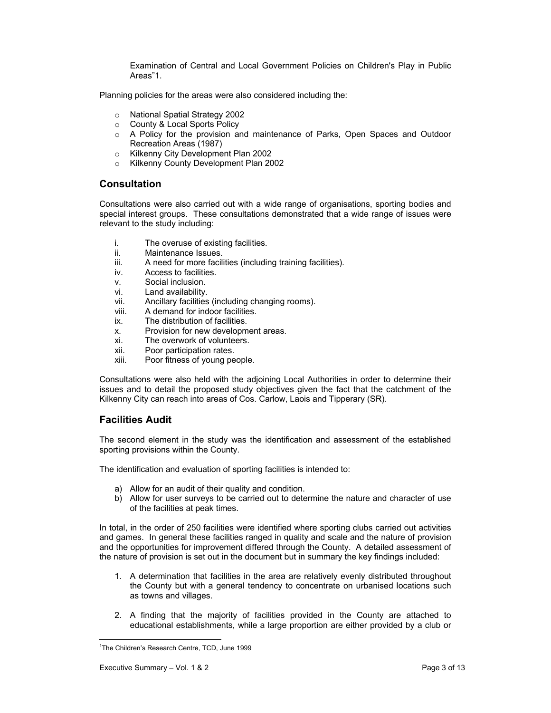Examination of Central and Local Government Policies on Children's Play in Public Areas"1.

Planning policies for the areas were also considered including the:

- o National Spatial Strategy 2002
- o County & Local Sports Policy
- o A Policy for the provision and maintenance of Parks, Open Spaces and Outdoor Recreation Areas (1987)
- o Kilkenny City Development Plan 2002
- o Kilkenny County Development Plan 2002

#### **Consultation**

Consultations were also carried out with a wide range of organisations, sporting bodies and special interest groups. These consultations demonstrated that a wide range of issues were relevant to the study including:

- i. The overuse of existing facilities.
- ii. Maintenance Issues.<br>iii A need for more facil
- A need for more facilities (including training facilities).
- iv. Access to facilities.
- v. Social inclusion.
- vi. Land availability.
- vii. Ancillary facilities (including changing rooms).
- viii. A demand for indoor facilities.
- ix. The distribution of facilities.
- x. Provision for new development areas.
- xi. The overwork of volunteers.
- xii. Poor participation rates.
- xiii. Poor fitness of young people.

Consultations were also held with the adjoining Local Authorities in order to determine their issues and to detail the proposed study objectives given the fact that the catchment of the Kilkenny City can reach into areas of Cos. Carlow, Laois and Tipperary (SR).

## **Facilities Audit**

The second element in the study was the identification and assessment of the established sporting provisions within the County.

The identification and evaluation of sporting facilities is intended to:

- a) Allow for an audit of their quality and condition.
- b) Allow for user surveys to be carried out to determine the nature and character of use of the facilities at peak times.

In total, in the order of 250 facilities were identified where sporting clubs carried out activities and games. In general these facilities ranged in quality and scale and the nature of provision and the opportunities for improvement differed through the County. A detailed assessment of the nature of provision is set out in the document but in summary the key findings included:

- 1. A determination that facilities in the area are relatively evenly distributed throughout the County but with a general tendency to concentrate on urbanised locations such as towns and villages.
- 2. A finding that the majority of facilities provided in the County are attached to educational establishments, while a large proportion are either provided by a club or

 $\overline{a}$ 

<sup>&</sup>lt;sup>1</sup>The Children's Research Centre, TCD, June 1999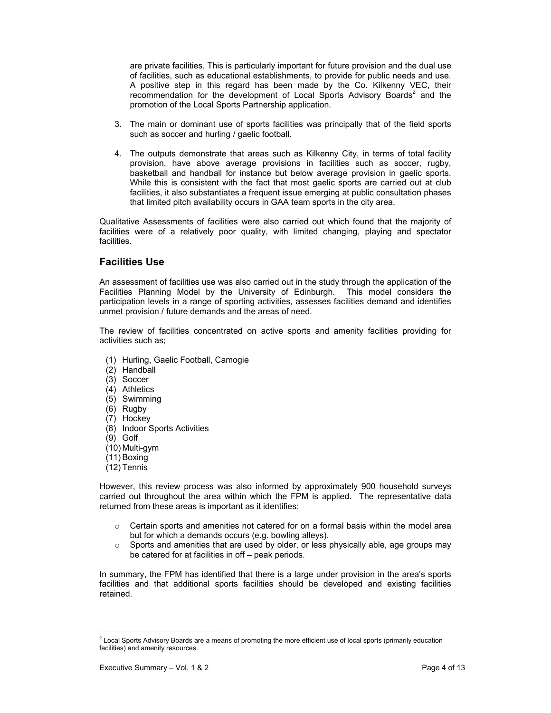are private facilities. This is particularly important for future provision and the dual use of facilities, such as educational establishments, to provide for public needs and use. A positive step in this regard has been made by the Co. Kilkenny VEC, their recommendation for the development of Local Sports Advisory Boards<sup>2</sup> and the promotion of the Local Sports Partnership application.

- 3. The main or dominant use of sports facilities was principally that of the field sports such as soccer and hurling / gaelic football.
- 4. The outputs demonstrate that areas such as Kilkenny City, in terms of total facility provision, have above average provisions in facilities such as soccer, rugby, basketball and handball for instance but below average provision in gaelic sports. While this is consistent with the fact that most gaelic sports are carried out at club facilities, it also substantiates a frequent issue emerging at public consultation phases that limited pitch availability occurs in GAA team sports in the city area.

Qualitative Assessments of facilities were also carried out which found that the majority of facilities were of a relatively poor quality, with limited changing, playing and spectator facilities.

# **Facilities Use**

An assessment of facilities use was also carried out in the study through the application of the Facilities Planning Model by the University of Edinburgh. This model considers the participation levels in a range of sporting activities, assesses facilities demand and identifies unmet provision / future demands and the areas of need.

The review of facilities concentrated on active sports and amenity facilities providing for activities such as;

- (1) Hurling, Gaelic Football, Camogie
- (2) Handball
- (3) Soccer
- (4) Athletics
- (5) Swimming
- (6) Rugby
- (7) Hockey
- (8) Indoor Sports Activities
- (9) Golf
- (10) Multi-gym
- (11) Boxing
- (12) Tennis

However, this review process was also informed by approximately 900 household surveys carried out throughout the area within which the FPM is applied. The representative data returned from these areas is important as it identifies:

- $\circ$  Certain sports and amenities not catered for on a formal basis within the model area but for which a demands occurs (e.g. bowling alleys).
- o Sports and amenities that are used by older, or less physically able, age groups may be catered for at facilities in off – peak periods.

In summary, the FPM has identified that there is a large under provision in the area's sports facilities and that additional sports facilities should be developed and existing facilities retained.

 2 Local Sports Advisory Boards are a means of promoting the more efficient use of local sports (primarily education facilities) and amenity resources.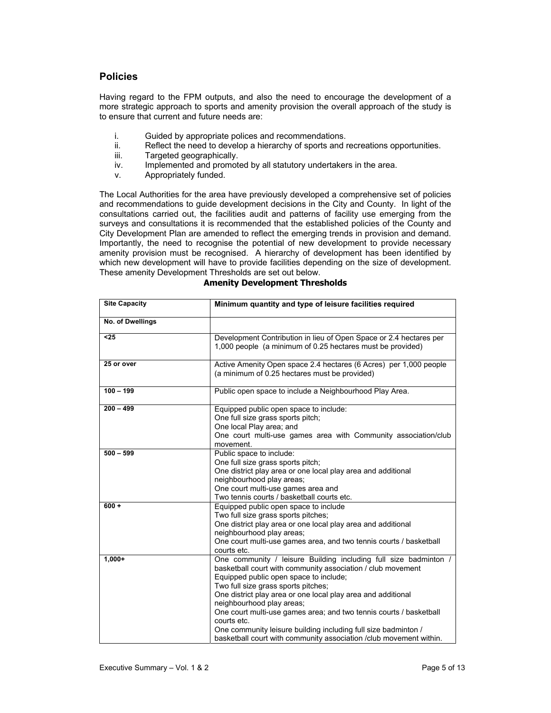# **Policies**

Having regard to the FPM outputs, and also the need to encourage the development of a more strategic approach to sports and amenity provision the overall approach of the study is to ensure that current and future needs are:

- i. Guided by appropriate polices and recommendations.<br>ii. Reflect the need to develop a hierarchy of sports and i
- Reflect the need to develop a hierarchy of sports and recreations opportunities.
- iii. Targeted geographically.
- iv. Implemented and promoted by all statutory undertakers in the area.
- v. Appropriately funded.

The Local Authorities for the area have previously developed a comprehensive set of policies and recommendations to guide development decisions in the City and County. In light of the consultations carried out, the facilities audit and patterns of facility use emerging from the surveys and consultations it is recommended that the established policies of the County and City Development Plan are amended to reflect the emerging trends in provision and demand. Importantly, the need to recognise the potential of new development to provide necessary amenity provision must be recognised. A hierarchy of development has been identified by which new development will have to provide facilities depending on the size of development. These amenity Development Thresholds are set out below.

#### **Amenity Development Thresholds**

| <b>Site Capacity</b> | Minimum quantity and type of leisure facilities required                                                                                                                                                                                                                                                                                                                                                                                                                                                                                   |  |  |
|----------------------|--------------------------------------------------------------------------------------------------------------------------------------------------------------------------------------------------------------------------------------------------------------------------------------------------------------------------------------------------------------------------------------------------------------------------------------------------------------------------------------------------------------------------------------------|--|--|
| No. of Dwellings     |                                                                                                                                                                                                                                                                                                                                                                                                                                                                                                                                            |  |  |
| $25$                 | Development Contribution in lieu of Open Space or 2.4 hectares per<br>1,000 people (a minimum of 0.25 hectares must be provided)                                                                                                                                                                                                                                                                                                                                                                                                           |  |  |
| 25 or over           | Active Amenity Open space 2.4 hectares (6 Acres) per 1,000 people<br>(a minimum of 0.25 hectares must be provided)                                                                                                                                                                                                                                                                                                                                                                                                                         |  |  |
| $100 - 199$          | Public open space to include a Neighbourhood Play Area.                                                                                                                                                                                                                                                                                                                                                                                                                                                                                    |  |  |
| $200 - 499$          | Equipped public open space to include:<br>One full size grass sports pitch;<br>One local Play area; and<br>One court multi-use games area with Community association/club<br>movement.                                                                                                                                                                                                                                                                                                                                                     |  |  |
| $500 - 599$          | Public space to include:<br>One full size grass sports pitch;<br>One district play area or one local play area and additional<br>neighbourhood play areas;<br>One court multi-use games area and<br>Two tennis courts / basketball courts etc.                                                                                                                                                                                                                                                                                             |  |  |
| $600 +$              | Equipped public open space to include<br>Two full size grass sports pitches;<br>One district play area or one local play area and additional<br>neighbourhood play areas;<br>One court multi-use games area, and two tennis courts / basketball<br>courts etc.                                                                                                                                                                                                                                                                             |  |  |
| $1,000+$             | One community / leisure Building including full size badminton /<br>basketball court with community association / club movement<br>Equipped public open space to include;<br>Two full size grass sports pitches;<br>One district play area or one local play area and additional<br>neighbourhood play areas;<br>One court multi-use games area; and two tennis courts / basketball<br>courts etc.<br>One community leisure building including full size badminton /<br>basketball court with community association /club movement within. |  |  |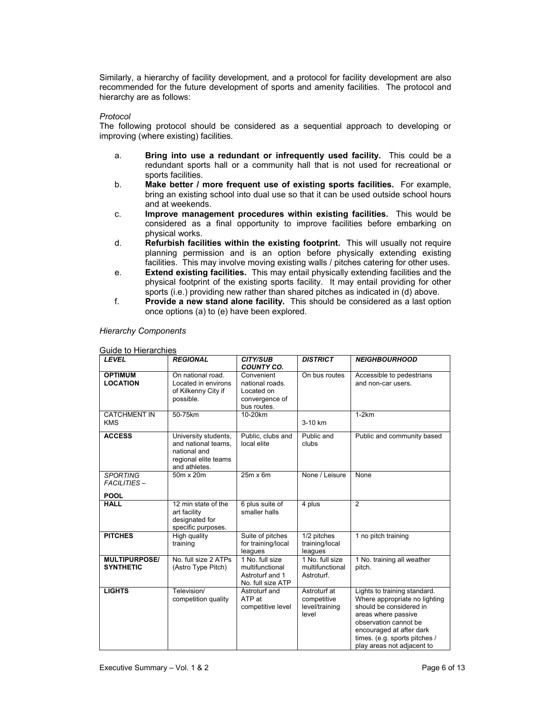Similarly, a hierarchy of facility development, and a protocol for facility development are also recommended for the future development of sports and amenity facilities. The protocol and hierarchy are as follows:

#### *Protocol*

The following protocol should be considered as a sequential approach to developing or improving (where existing) facilities.

- a. **Bring into use a redundant or infrequently used facility.** This could be a redundant sports hall or a community hall that is not used for recreational or sports facilities.
- b. **Make better / more frequent use of existing sports facilities.** For example, bring an existing school into dual use so that it can be used outside school hours and at weekends.
- c. **Improve management procedures within existing facilities.** This would be considered as a final opportunity to improve facilities before embarking on physical works.
- d. **Refurbish facilities within the existing footprint.** This will usually not require planning permission and is an option before physically extending existing facilities. This may involve moving existing walls / pitches catering for other uses.
- e. **Extend existing facilities.** This may entail physically extending facilities and the physical footprint of the existing sports facility. It may entail providing for other sports (i.e.) providing new rather than shared pitches as indicated in (d) above.
- f. **Provide a new stand alone facility.** This should be considered as a last option once options (a) to (e) have been explored.

*Hierarchy Components* 

| Guide to Hierarchies                                 |                                                                                                      |                                                                              |                                                        |                                                                                                                                                                                                                                     |
|------------------------------------------------------|------------------------------------------------------------------------------------------------------|------------------------------------------------------------------------------|--------------------------------------------------------|-------------------------------------------------------------------------------------------------------------------------------------------------------------------------------------------------------------------------------------|
| <b>LEVEL</b>                                         | <b>REGIONAL</b>                                                                                      | <b>CITY/SUB</b><br><b>COUNTY CO.</b>                                         | <b>DISTRICT</b>                                        | <b>NEIGHBOURHOOD</b>                                                                                                                                                                                                                |
| <b>OPTIMUM</b><br><b>LOCATION</b>                    | On national road.<br>Located in environs<br>of Kilkenny City if<br>possible.                         | Convenient<br>national roads.<br>Located on<br>convergence of<br>bus routes. | On bus routes                                          | Accessible to pedestrians<br>and non-car users.                                                                                                                                                                                     |
| <b>CATCHMENT IN</b><br><b>KMS</b>                    | 50-75km                                                                                              | 10-20km                                                                      | 3-10 km                                                | $1-2km$                                                                                                                                                                                                                             |
| <b>ACCESS</b>                                        | University students,<br>and national teams.<br>national and<br>regional elite teams<br>and athletes. | Public, clubs and<br>local elite                                             | Public and<br>clubs                                    | Public and community based                                                                                                                                                                                                          |
| <b>SPORTING</b><br><b>FACILITIES-</b><br><b>POOL</b> | 50m x 20m                                                                                            | $25m \times 6m$                                                              | None / Leisure                                         | None                                                                                                                                                                                                                                |
| <b>HALL</b>                                          | 12 min state of the<br>art facility<br>designated for<br>specific purposes.                          | 6 plus suite of<br>smaller halls                                             | 4 plus                                                 | $\overline{2}$                                                                                                                                                                                                                      |
| <b>PITCHES</b>                                       | High quality<br>training                                                                             | Suite of pitches<br>for training/local<br>leagues                            | 1/2 pitches<br>training/local<br>leagues               | 1 no pitch training                                                                                                                                                                                                                 |
| <b>MULTIPURPOSE/</b><br><b>SYNTHETIC</b>             | No. full size 2 ATPs<br>(Astro Type Pitch)                                                           | 1 No. full size<br>multifunctional<br>Astroturf and 1<br>No. full size ATP   | 1 No. full size<br>multifunctional<br>Astroturf.       | 1 No. training all weather<br>pitch.                                                                                                                                                                                                |
| <b>LIGHTS</b>                                        | Television/<br>competition quality                                                                   | Astroturf and<br>ATP at<br>competitive level                                 | Astroturf at<br>competitive<br>level/training<br>level | Lights to training standard.<br>Where appropriate no lighting<br>should be considered in<br>areas where passive<br>observation cannot be<br>encouraged at after dark<br>times. (e.g. sports pitches /<br>play areas not adjacent to |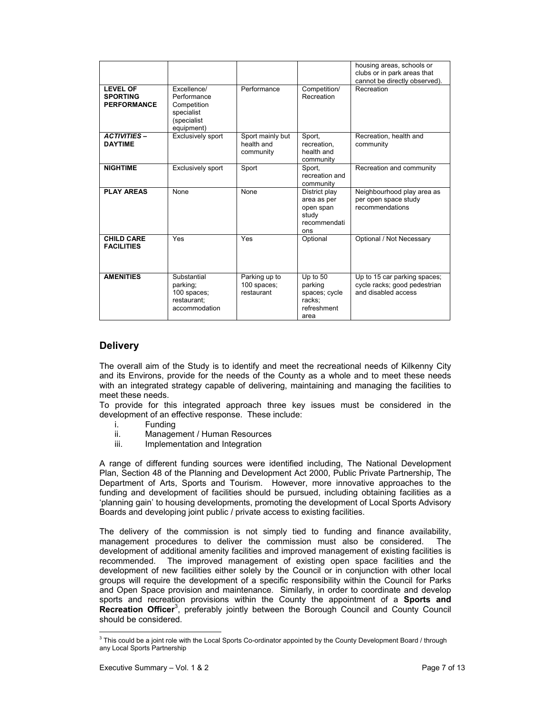|                                                          |                                                                                      |                                             |                                                                           | housing areas, schools or<br>clubs or in park areas that<br>cannot be directly observed). |
|----------------------------------------------------------|--------------------------------------------------------------------------------------|---------------------------------------------|---------------------------------------------------------------------------|-------------------------------------------------------------------------------------------|
| <b>LEVEL OF</b><br><b>SPORTING</b><br><b>PERFORMANCE</b> | Excellence/<br>Performance<br>Competition<br>specialist<br>(specialist<br>equipment) | Performance                                 | Competition/<br>Recreation                                                | Recreation                                                                                |
| <b>ACTIVITIES-</b><br><b>DAYTIME</b>                     | <b>Exclusively sport</b>                                                             | Sport mainly but<br>health and<br>community | Sport,<br>recreation.<br>health and<br>community                          | Recreation, health and<br>community                                                       |
| <b>NIGHTIME</b>                                          | <b>Exclusively sport</b>                                                             | Sport                                       | Sport,<br>recreation and<br>community                                     | Recreation and community                                                                  |
| <b>PLAY AREAS</b>                                        | None                                                                                 | None                                        | District play<br>area as per<br>open span<br>study<br>recommendati<br>ons | Neighbourhood play area as<br>per open space study<br>recommendations                     |
| <b>CHILD CARE</b><br><b>FACILITIES</b>                   | Yes                                                                                  | Yes                                         | Optional                                                                  | Optional / Not Necessary                                                                  |
| <b>AMENITIES</b>                                         | Substantial<br>parking;<br>100 spaces;<br>restaurant:<br>accommodation               | Parking up to<br>100 spaces;<br>restaurant  | Up to 50<br>parking<br>spaces; cycle<br>racks;<br>refreshment<br>area     | Up to 15 car parking spaces;<br>cycle racks; good pedestrian<br>and disabled access       |

# **Delivery**

The overall aim of the Study is to identify and meet the recreational needs of Kilkenny City and its Environs, provide for the needs of the County as a whole and to meet these needs with an integrated strategy capable of delivering, maintaining and managing the facilities to meet these needs.

To provide for this integrated approach three key issues must be considered in the development of an effective response. These include:

- i. Funding
- ii. Management / Human Resources
- iii. Implementation and Integration

A range of different funding sources were identified including, The National Development Plan, Section 48 of the Planning and Development Act 2000, Public Private Partnership, The Department of Arts, Sports and Tourism. However, more innovative approaches to the funding and development of facilities should be pursued, including obtaining facilities as a 'planning gain' to housing developments, promoting the development of Local Sports Advisory Boards and developing joint public / private access to existing facilities.

The delivery of the commission is not simply tied to funding and finance availability, management procedures to deliver the commission must also be considered. The development of additional amenity facilities and improved management of existing facilities is recommended. The improved management of existing open space facilities and the development of new facilities either solely by the Council or in conjunction with other local groups will require the development of a specific responsibility within the Council for Parks and Open Space provision and maintenance. Similarly, in order to coordinate and develop sports and recreation provisions within the County the appointment of a **Sports and**  Recreation Officer<sup>3</sup>, preferably jointly between the Borough Council and County Council should be considered.

 3 This could be a joint role with the Local Sports Co-ordinator appointed by the County Development Board / through any Local Sports Partnership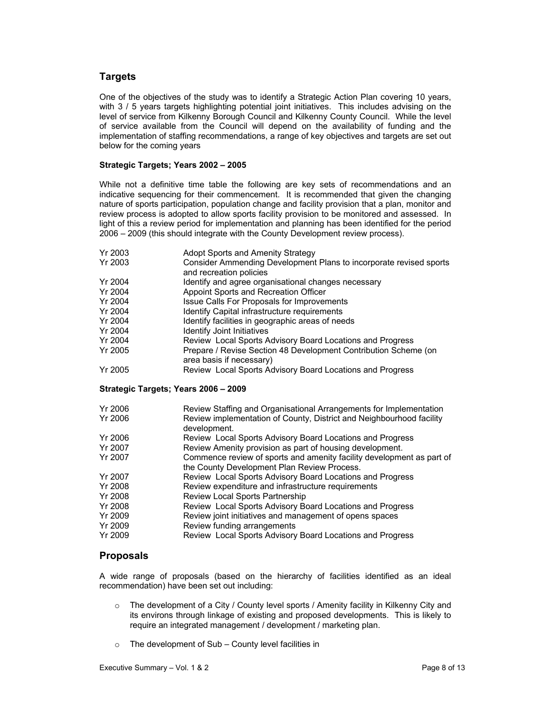# **Targets**

One of the objectives of the study was to identify a Strategic Action Plan covering 10 years, with 3 / 5 years targets highlighting potential joint initiatives. This includes advising on the level of service from Kilkenny Borough Council and Kilkenny County Council. While the level of service available from the Council will depend on the availability of funding and the implementation of staffing recommendations, a range of key objectives and targets are set out below for the coming years

#### **Strategic Targets; Years 2002 – 2005**

While not a definitive time table the following are key sets of recommendations and an indicative sequencing for their commencement. It is recommended that given the changing nature of sports participation, population change and facility provision that a plan, monitor and review process is adopted to allow sports facility provision to be monitored and assessed. In light of this a review period for implementation and planning has been identified for the period 2006 – 2009 (this should integrate with the County Development review process).

| Yr 2003 | Adopt Sports and Amenity Strategy                                                             |
|---------|-----------------------------------------------------------------------------------------------|
|         |                                                                                               |
| Yr 2003 | Consider Ammending Development Plans to incorporate revised sports<br>and recreation policies |
| Yr 2004 | Identify and agree organisational changes necessary                                           |
| Yr 2004 | Appoint Sports and Recreation Officer                                                         |
| Yr 2004 | Issue Calls For Proposals for Improvements                                                    |
| Yr 2004 | Identify Capital infrastructure requirements                                                  |
| Yr 2004 | Identify facilities in geographic areas of needs                                              |
| Yr 2004 | <b>Identify Joint Initiatives</b>                                                             |
| Yr 2004 | Review Local Sports Advisory Board Locations and Progress                                     |
| Yr 2005 | Prepare / Revise Section 48 Development Contribution Scheme (on<br>area basis if necessary)   |
| Yr 2005 | Review Local Sports Advisory Board Locations and Progress                                     |

#### **Strategic Targets; Years 2006 – 2009**

| Yr 2006 | Review Staffing and Organisational Arrangements for Implementation                                                   |
|---------|----------------------------------------------------------------------------------------------------------------------|
| Yr 2006 | Review implementation of County, District and Neighbourhood facility<br>development.                                 |
| Yr 2006 | Review Local Sports Advisory Board Locations and Progress                                                            |
| Yr 2007 | Review Amenity provision as part of housing development.                                                             |
| Yr 2007 | Commence review of sports and amenity facility development as part of<br>the County Development Plan Review Process. |
| Yr 2007 | Review Local Sports Advisory Board Locations and Progress                                                            |
| Yr 2008 | Review expenditure and infrastructure requirements                                                                   |
| Yr 2008 | Review Local Sports Partnership                                                                                      |
| Yr 2008 | Review Local Sports Advisory Board Locations and Progress                                                            |
| Yr 2009 | Review joint initiatives and management of opens spaces                                                              |
| Yr 2009 | Review funding arrangements                                                                                          |
| Yr 2009 | Review Local Sports Advisory Board Locations and Progress                                                            |

# **Proposals**

A wide range of proposals (based on the hierarchy of facilities identified as an ideal recommendation) have been set out including:

- $\circ$  The development of a City / County level sports / Amenity facility in Kilkenny City and its environs through linkage of existing and proposed developments. This is likely to require an integrated management / development / marketing plan.
- o The development of Sub County level facilities in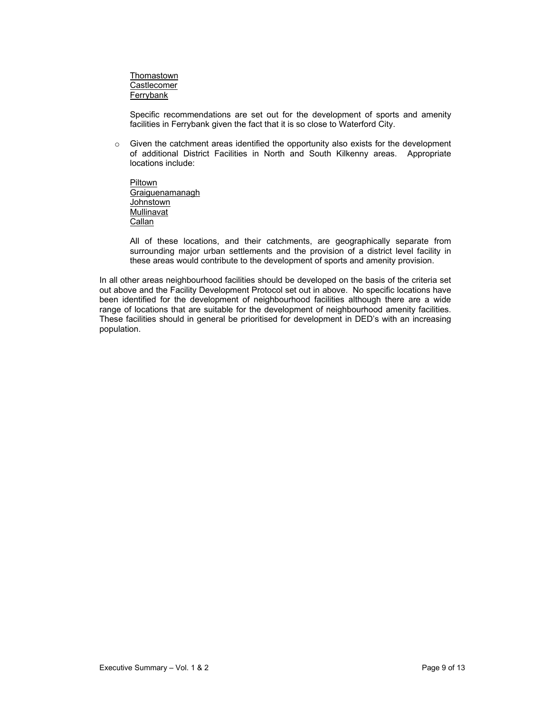**Thomastown** Castlecomer Ferrybank

Specific recommendations are set out for the development of sports and amenity facilities in Ferrybank given the fact that it is so close to Waterford City.

 $\circ$  Given the catchment areas identified the opportunity also exists for the development of additional District Facilities in North and South Kilkenny areas. Appropriate locations include:

Piltown Graiguenamanagh **Johnstown Mullinavat Callan** 

All of these locations, and their catchments, are geographically separate from surrounding major urban settlements and the provision of a district level facility in these areas would contribute to the development of sports and amenity provision.

In all other areas neighbourhood facilities should be developed on the basis of the criteria set out above and the Facility Development Protocol set out in above. No specific locations have been identified for the development of neighbourhood facilities although there are a wide range of locations that are suitable for the development of neighbourhood amenity facilities. These facilities should in general be prioritised for development in DED's with an increasing population.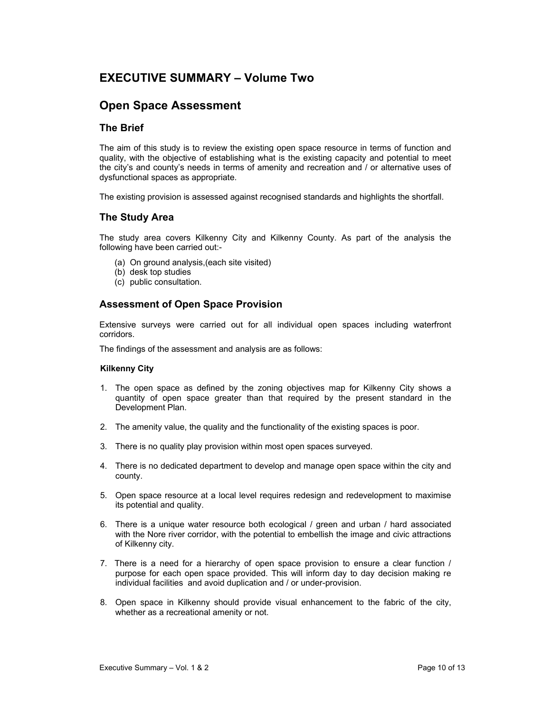# **EXECUTIVE SUMMARY – Volume Two**

# **Open Space Assessment**

# **The Brief**

The aim of this study is to review the existing open space resource in terms of function and quality, with the objective of establishing what is the existing capacity and potential to meet the city's and county's needs in terms of amenity and recreation and / or alternative uses of dysfunctional spaces as appropriate.

The existing provision is assessed against recognised standards and highlights the shortfall.

## **The Study Area**

The study area covers Kilkenny City and Kilkenny County. As part of the analysis the following have been carried out:-

- (a) On ground analysis,(each site visited)
- (b) desk top studies
- (c) public consultation.

# **Assessment of Open Space Provision**

Extensive surveys were carried out for all individual open spaces including waterfront corridors.

The findings of the assessment and analysis are as follows:

#### **Kilkenny City**

- 1. The open space as defined by the zoning objectives map for Kilkenny City shows a quantity of open space greater than that required by the present standard in the Development Plan.
- 2. The amenity value, the quality and the functionality of the existing spaces is poor.
- 3. There is no quality play provision within most open spaces surveyed.
- 4. There is no dedicated department to develop and manage open space within the city and county.
- 5. Open space resource at a local level requires redesign and redevelopment to maximise its potential and quality.
- 6. There is a unique water resource both ecological / green and urban / hard associated with the Nore river corridor, with the potential to embellish the image and civic attractions of Kilkenny city.
- 7. There is a need for a hierarchy of open space provision to ensure a clear function / purpose for each open space provided. This will inform day to day decision making re individual facilities and avoid duplication and / or under-provision.
- 8. Open space in Kilkenny should provide visual enhancement to the fabric of the city, whether as a recreational amenity or not.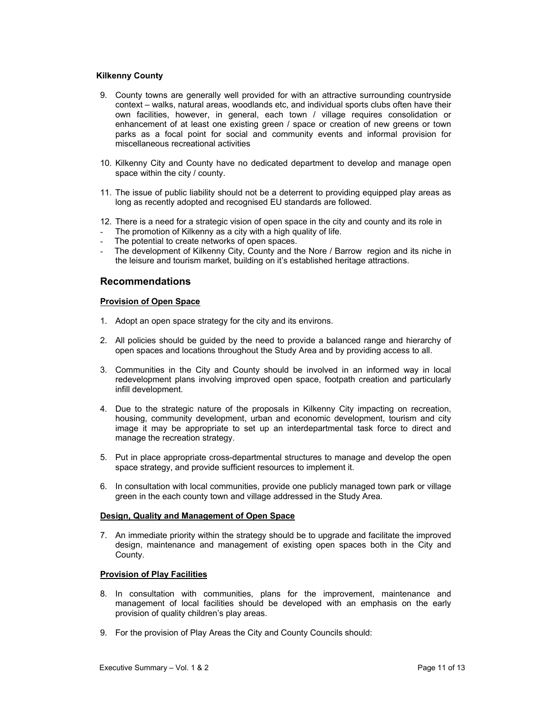#### **Kilkenny County**

- 9. County towns are generally well provided for with an attractive surrounding countryside context – walks, natural areas, woodlands etc, and individual sports clubs often have their own facilities, however, in general, each town / village requires consolidation or enhancement of at least one existing green / space or creation of new greens or town parks as a focal point for social and community events and informal provision for miscellaneous recreational activities
- 10. Kilkenny City and County have no dedicated department to develop and manage open space within the city / county.
- 11. The issue of public liability should not be a deterrent to providing equipped play areas as long as recently adopted and recognised EU standards are followed.
- 12. There is a need for a strategic vision of open space in the city and county and its role in
- The promotion of Kilkenny as a city with a high quality of life.
- The potential to create networks of open spaces.
- The development of Kilkenny City, County and the Nore / Barrow region and its niche in the leisure and tourism market, building on it's established heritage attractions.

# **Recommendations**

#### **Provision of Open Space**

- 1. Adopt an open space strategy for the city and its environs.
- 2. All policies should be guided by the need to provide a balanced range and hierarchy of open spaces and locations throughout the Study Area and by providing access to all.
- 3. Communities in the City and County should be involved in an informed way in local redevelopment plans involving improved open space, footpath creation and particularly infill development.
- 4. Due to the strategic nature of the proposals in Kilkenny City impacting on recreation, housing, community development, urban and economic development, tourism and city image it may be appropriate to set up an interdepartmental task force to direct and manage the recreation strategy.
- 5. Put in place appropriate cross-departmental structures to manage and develop the open space strategy, and provide sufficient resources to implement it.
- 6. In consultation with local communities, provide one publicly managed town park or village green in the each county town and village addressed in the Study Area.

#### **Design, Quality and Management of Open Space**

7. An immediate priority within the strategy should be to upgrade and facilitate the improved design, maintenance and management of existing open spaces both in the City and County.

#### **Provision of Play Facilities**

- 8. In consultation with communities, plans for the improvement, maintenance and management of local facilities should be developed with an emphasis on the early provision of quality children's play areas.
- 9. For the provision of Play Areas the City and County Councils should: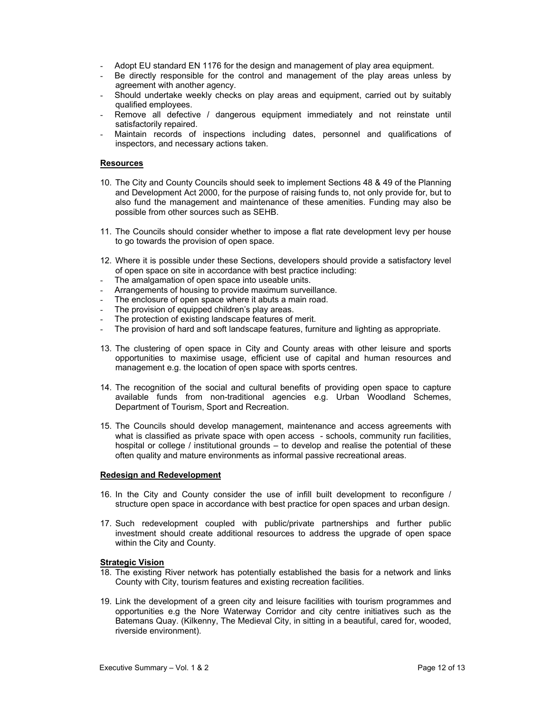- Adopt EU standard EN 1176 for the design and management of play area equipment.
- Be directly responsible for the control and management of the play areas unless by agreement with another agency.
- Should undertake weekly checks on play areas and equipment, carried out by suitably qualified employees.
- Remove all defective / dangerous equipment immediately and not reinstate until satisfactorily repaired.
- Maintain records of inspections including dates, personnel and qualifications of inspectors, and necessary actions taken.

#### **Resources**

- 10. The City and County Councils should seek to implement Sections 48 & 49 of the Planning and Development Act 2000, for the purpose of raising funds to, not only provide for, but to also fund the management and maintenance of these amenities. Funding may also be possible from other sources such as SEHB.
- 11. The Councils should consider whether to impose a flat rate development levy per house to go towards the provision of open space.
- 12. Where it is possible under these Sections, developers should provide a satisfactory level of open space on site in accordance with best practice including:
- The amalgamation of open space into useable units.
- Arrangements of housing to provide maximum surveillance.
- The enclosure of open space where it abuts a main road.
- The provision of equipped children's play areas.
- The protection of existing landscape features of merit.
- The provision of hard and soft landscape features, furniture and lighting as appropriate.
- 13. The clustering of open space in City and County areas with other leisure and sports opportunities to maximise usage, efficient use of capital and human resources and management e.g. the location of open space with sports centres.
- 14. The recognition of the social and cultural benefits of providing open space to capture available funds from non-traditional agencies e.g. Urban Woodland Schemes, Department of Tourism, Sport and Recreation.
- 15. The Councils should develop management, maintenance and access agreements with what is classified as private space with open access - schools, community run facilities, hospital or college / institutional grounds – to develop and realise the potential of these often quality and mature environments as informal passive recreational areas.

#### **Redesign and Redevelopment**

- 16. In the City and County consider the use of infill built development to reconfigure / structure open space in accordance with best practice for open spaces and urban design.
- 17. Such redevelopment coupled with public/private partnerships and further public investment should create additional resources to address the upgrade of open space within the City and County.

#### **Strategic Vision**

- 18. The existing River network has potentially established the basis for a network and links County with City, tourism features and existing recreation facilities.
- 19. Link the development of a green city and leisure facilities with tourism programmes and opportunities e.g the Nore Waterway Corridor and city centre initiatives such as the Batemans Quay. (Kilkenny, The Medieval City, in sitting in a beautiful, cared for, wooded, riverside environment).